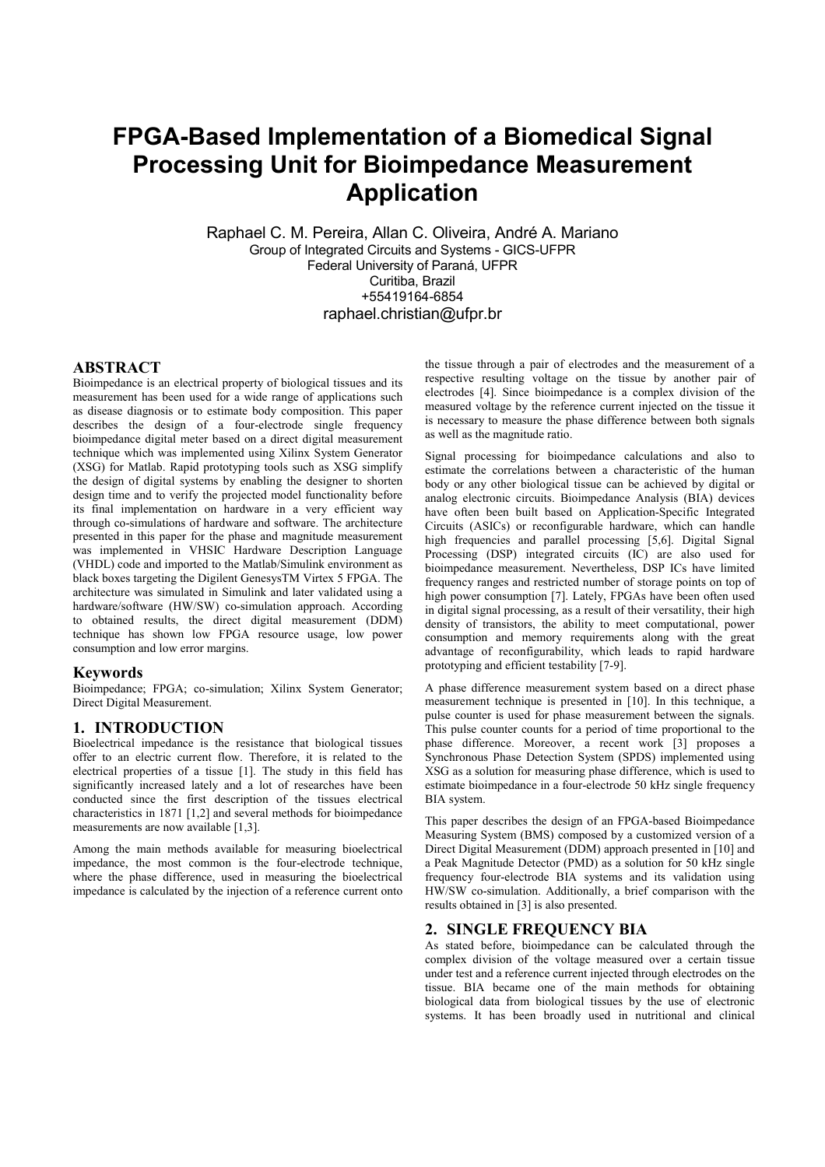# **FPGA-Based Implementation of a Biomedical Signal Processing Unit for Bioimpedance Measurement Application**

Raphael C. M. Pereira, Allan C. Oliveira, André A. Mariano Group of Integrated Circuits and Systems - GICS-UFPR Federal University of Paraná, UFPR Curitiba, Brazil +55419164-6854 [raphael.christian@ufpr.br](mailto:raphael.christian@ufpr.br)

# **ABSTRACT**

Bioimpedance is an electrical property of biological tissues and its measurement has been used for a wide range of applications such as disease diagnosis or to estimate body composition. This paper describes the design of a four-electrode single frequency bioimpedance digital meter based on a direct digital measurement technique which was implemented using Xilinx System Generator (XSG) for Matlab. Rapid prototyping tools such as XSG simplify the design of digital systems by enabling the designer to shorten design time and to verify the projected model functionality before its final implementation on hardware in a very efficient way through co-simulations of hardware and software. The architecture presented in this paper for the phase and magnitude measurement was implemented in VHSIC Hardware Description Language (VHDL) code and imported to the Matlab/Simulink environment as black boxes targeting the Digilent GenesysTM Virtex 5 FPGA. The architecture was simulated in Simulink and later validated using a hardware/software (HW/SW) co-simulation approach. According to obtained results, the direct digital measurement (DDM) technique has shown low FPGA resource usage, low power consumption and low error margins.

#### **Keywords**

Bioimpedance; FPGA; co-simulation; Xilinx System Generator; Direct Digital Measurement.

#### **1. INTRODUCTION**

Bioelectrical impedance is the resistance that biological tissues offer to an electric current flow. Therefore, it is related to the electrical properties of a tissue [1]. The study in this field has significantly increased lately and a lot of researches have been conducted since the first description of the tissues electrical characteristics in 1871 [1,2] and several methods for bioimpedance measurements are now available [1,3].

Among the main methods available for measuring bioelectrical impedance, the most common is the four-electrode technique, where the phase difference, used in measuring the bioelectrical impedance is calculated by the injection of a reference current onto the tissue through a pair of electrodes and the measurement of a respective resulting voltage on the tissue by another pair of electrodes [4]. Since bioimpedance is a complex division of the measured voltage by the reference current injected on the tissue it is necessary to measure the phase difference between both signals as well as the magnitude ratio.

Signal processing for bioimpedance calculations and also to estimate the correlations between a characteristic of the human body or any other biological tissue can be achieved by digital or analog electronic circuits. Bioimpedance Analysis (BIA) devices have often been built based on Application-Specific Integrated Circuits (ASICs) or reconfigurable hardware, which can handle high frequencies and parallel processing [5,6]. Digital Signal Processing (DSP) integrated circuits (IC) are also used for bioimpedance measurement. Nevertheless, DSP ICs have limited frequency ranges and restricted number of storage points on top of high power consumption [7]. Lately, FPGAs have been often used in digital signal processing, as a result of their versatility, their high density of transistors, the ability to meet computational, power consumption and memory requirements along with the great advantage of reconfigurability, which leads to rapid hardware prototyping and efficient testability [7-9].

A phase difference measurement system based on a direct phase measurement technique is presented in [10]. In this technique, a pulse counter is used for phase measurement between the signals. This pulse counter counts for a period of time proportional to the phase difference. Moreover, a recent work [3] proposes a Synchronous Phase Detection System (SPDS) implemented using XSG as a solution for measuring phase difference, which is used to estimate bioimpedance in a four-electrode 50 kHz single frequency BIA system.

This paper describes the design of an FPGA-based Bioimpedance Measuring System (BMS) composed by a customized version of a Direct Digital Measurement (DDM) approach presented in [10] and a Peak Magnitude Detector (PMD) as a solution for 50 kHz single frequency four-electrode BIA systems and its validation using HW/SW co-simulation. Additionally, a brief comparison with the results obtained in [3] is also presented.

#### **2. SINGLE FREQUENCY BIA**

As stated before, bioimpedance can be calculated through the complex division of the voltage measured over a certain tissue under test and a reference current injected through electrodes on the tissue. BIA became one of the main methods for obtaining biological data from biological tissues by the use of electronic systems. It has been broadly used in nutritional and clinical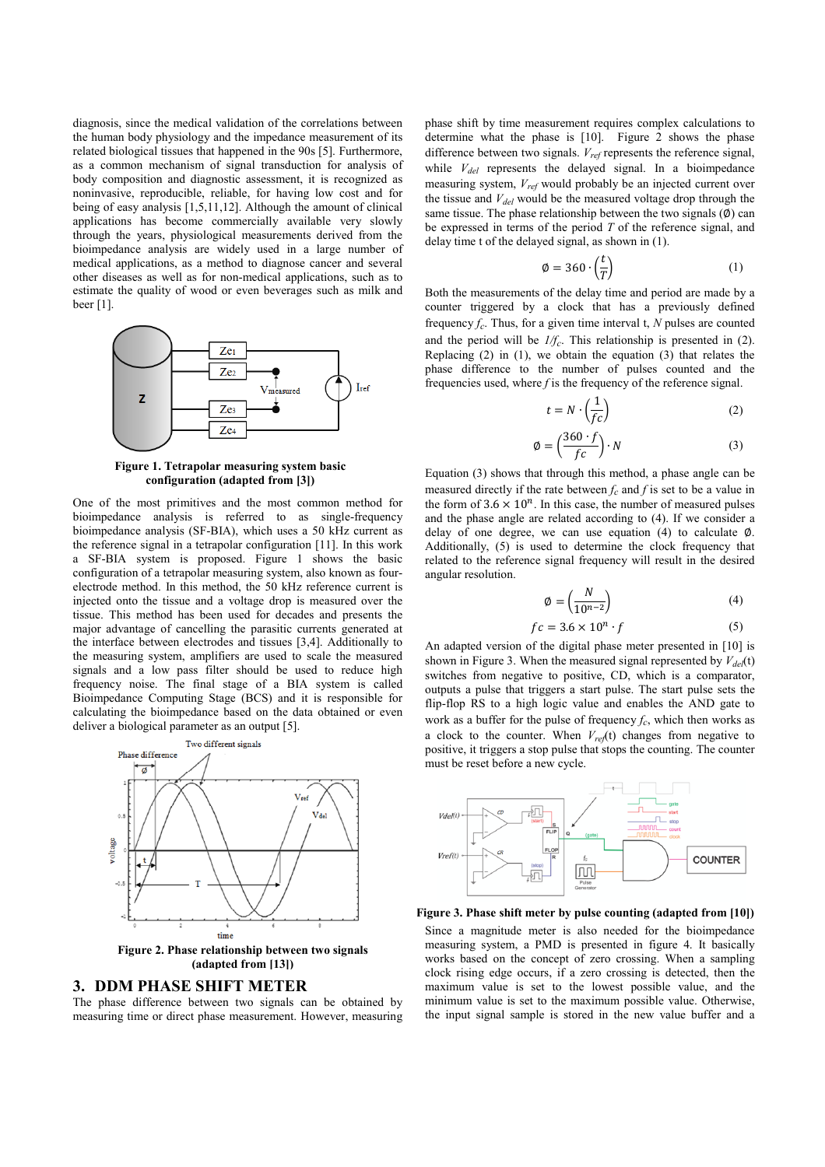diagnosis, since the medical validation of the correlations between the human body physiology and the impedance measurement of its related biological tissues that happened in the 90s [5]. Furthermore, as a common mechanism of signal transduction for analysis of body composition and diagnostic assessment, it is recognized as noninvasive, reproducible, reliable, for having low cost and for being of easy analysis [1,5,11,12]. Although the amount of clinical applications has become commercially available very slowly through the years, physiological measurements derived from the bioimpedance analysis are widely used in a large number of medical applications, as a method to diagnose cancer and several other diseases as well as for non-medical applications, such as to estimate the quality of wood or even beverages such as milk and beer [1].



**Figure 1. Tetrapolar measuring system basic configuration (adapted from [3])**

One of the most primitives and the most common method for bioimpedance analysis is referred to as single-frequency bioimpedance analysis (SF-BIA), which uses a 50 kHz current as the reference signal in a tetrapolar configuration [11]. In this work a SF-BIA system is proposed. Figure 1 shows the basic configuration of a tetrapolar measuring system, also known as fourelectrode method. In this method, the 50 kHz reference current is injected onto the tissue and a voltage drop is measured over the tissue. This method has been used for decades and presents the major advantage of cancelling the parasitic currents generated at the interface between electrodes and tissues [3,4]. Additionally to the measuring system, amplifiers are used to scale the measured signals and a low pass filter should be used to reduce high frequency noise. The final stage of a BIA system is called Bioimpedance Computing Stage (BCS) and it is responsible for calculating the bioimpedance based on the data obtained or even deliver a biological parameter as an output [5].



**Figure 2. Phase relationship between two signals (adapted from [13])**

#### **3. DDM PHASE SHIFT METER**

The phase difference between two signals can be obtained by measuring time or direct phase measurement. However, measuring phase shift by time measurement requires complex calculations to determine what the phase is [10]. Figure 2 shows the phase difference between two signals. *Vref* represents the reference signal, while *Vdel* represents the delayed signal. In a bioimpedance measuring system, *Vref* would probably be an injected current over the tissue and *Vdel* would be the measured voltage drop through the same tissue. The phase relationship between the two signals  $(\emptyset)$  can be expressed in terms of the period *T* of the reference signal, and delay time t of the delayed signal, as shown in (1).

$$
\phi = 360 \cdot \left(\frac{t}{T}\right) \tag{1}
$$

Both the measurements of the delay time and period are made by a counter triggered by a clock that has a previously defined frequency  $f_c$ . Thus, for a given time interval t,  $N$  pulses are counted and the period will be *1/fc*. This relationship is presented in (2). Replacing (2) in (1), we obtain the equation (3) that relates the phase difference to the number of pulses counted and the frequencies used, where *f* is the frequency of the reference signal.

$$
t = N \cdot \left(\frac{1}{fc}\right) \tag{2}
$$

$$
\emptyset = \left(\frac{360 \cdot f}{fc}\right) \cdot N \tag{3}
$$

Equation (3) shows that through this method, a phase angle can be measured directly if the rate between  $f_c$  and  $f$  is set to be a value in the form of  $3.6 \times 10^n$ . In this case, the number of measured pulses and the phase angle are related according to (4). If we consider a delay of one degree, we can use equation (4) to calculate ∅. Additionally, (5) is used to determine the clock frequency that related to the reference signal frequency will result in the desired angular resolution.

$$
\emptyset = \left(\frac{N}{10^{n-2}}\right) \tag{4}
$$

$$
fc = 3.6 \times 10^n \cdot f \tag{5}
$$

An adapted version of the digital phase meter presented in [10] is shown in Figure 3. When the measured signal represented by *Vdel* (t) switches from negative to positive, CD, which is a comparator, outputs a pulse that triggers a start pulse. The start pulse sets the flip-flop RS to a high logic value and enables the AND gate to work as a buffer for the pulse of frequency  $f_c$ , which then works as a clock to the counter. When *Vref* (t) changes from negative to positive, it triggers a stop pulse that stops the counting. The counter must be reset before a new cycle.



**Figure 3. Phase shift meter by pulse counting (adapted from [10])**

Since a magnitude meter is also needed for the bioimpedance measuring system, a PMD is presented in figure 4. It basically works based on the concept of zero crossing. When a sampling clock rising edge occurs, if a zero crossing is detected, then the maximum value is set to the lowest possible value, and the minimum value is set to the maximum possible value. Otherwise, the input signal sample is stored in the new value buffer and a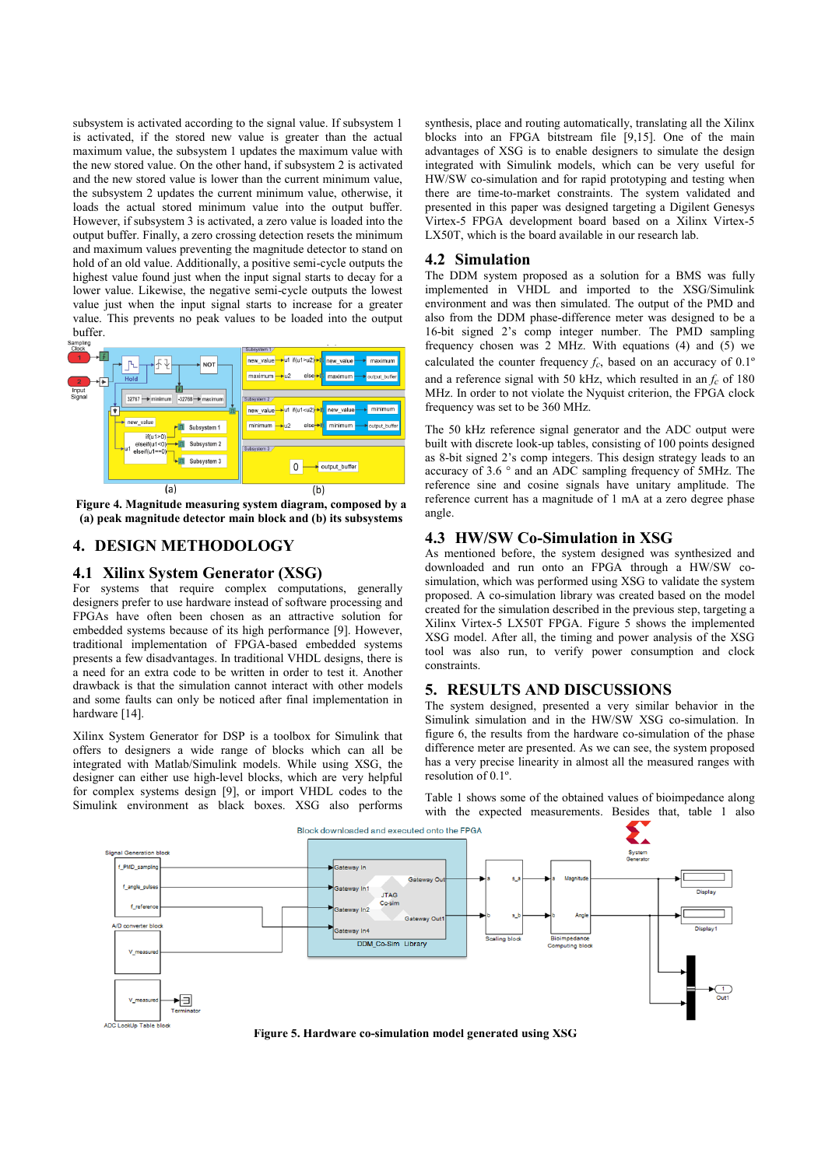subsystem is activated according to the signal value. If subsystem 1 is activated, if the stored new value is greater than the actual maximum value, the subsystem 1 updates the maximum value with the new stored value. On the other hand, if subsystem 2 is activated and the new stored value is lower than the current minimum value, the subsystem 2 updates the current minimum value, otherwise, it loads the actual stored minimum value into the output buffer. However, if subsystem 3 is activated, a zero value is loaded into the output buffer. Finally, a zero crossing detection resets the minimum and maximum values preventing the magnitude detector to stand on hold of an old value. Additionally, a positive semi-cycle outputs the highest value found just when the input signal starts to decay for a lower value. Likewise, the negative semi-cycle outputs the lowest value just when the input signal starts to increase for a greater value. This prevents no peak values to be loaded into the output buffer.



**Figure 4. Magnitude measuring system diagram, composed by a (a) peak magnitude detector main block and (b) its subsystems**

# **4. DESIGN METHODOLOGY**

#### **4.1 Xilinx System Generator (XSG)**

For systems that require complex computations, generally designers prefer to use hardware instead of software processing and FPGAs have often been chosen as an attractive solution for embedded systems because of its high performance [9]. However, traditional implementation of FPGA-based embedded systems presents a few disadvantages. In traditional VHDL designs, there is a need for an extra code to be written in order to test it. Another drawback is that the simulation cannot interact with other models and some faults can only be noticed after final implementation in hardware [14].

Xilinx System Generator for DSP is a toolbox for Simulink that offers to designers a wide range of blocks which can all be integrated with Matlab/Simulink models. While using XSG, the designer can either use high-level blocks, which are very helpful for complex systems design [9], or import VHDL codes to the Simulink environment as black boxes. XSG also performs

synthesis, place and routing automatically, translating all the Xilinx blocks into an FPGA bitstream file [9,15]. One of the main advantages of XSG is to enable designers to simulate the design integrated with Simulink models, which can be very useful for HW/SW co-simulation and for rapid prototyping and testing when there are time-to-market constraints. The system validated and presented in this paper was designed targeting a Digilent Genesys Virtex-5 FPGA development board based on a Xilinx Virtex-5 LX50T, which is the board available in our research lab.

#### **4.2 Simulation**

The DDM system proposed as a solution for a BMS was fully implemented in VHDL and imported to the XSG/Simulink environment and was then simulated. The output of the PMD and also from the DDM phase-difference meter was designed to be a 16-bit signed 2's comp integer number. The PMD sampling frequency chosen was 2 MHz. With equations (4) and (5) we calculated the counter frequency  $f_c$ , based on an accuracy of 0.1<sup>o</sup> and a reference signal with 50 kHz, which resulted in an *f<sup>c</sup>* of 180 MHz. In order to not violate the Nyquist criterion, the FPGA clock frequency was set to be 360 MHz.

The 50 kHz reference signal generator and the ADC output were built with discrete look-up tables, consisting of 100 points designed as 8-bit signed 2's comp integers. This design strategy leads to an accuracy of 3.6 ° and an ADC sampling frequency of 5MHz. The reference sine and cosine signals have unitary amplitude. The reference current has a magnitude of 1 mA at a zero degree phase angle.

# **4.3 HW/SW Co-Simulation in XSG**

As mentioned before, the system designed was synthesized and downloaded and run onto an FPGA through a HW/SW cosimulation, which was performed using XSG to validate the system proposed. A co-simulation library was created based on the model created for the simulation described in the previous step, targeting a Xilinx Virtex-5 LX50T FPGA. Figure 5 shows the implemented XSG model. After all, the timing and power analysis of the XSG tool was also run, to verify power consumption and clock constraints.

## **5. RESULTS AND DISCUSSIONS**

The system designed, presented a very similar behavior in the Simulink simulation and in the HW/SW XSG co-simulation. In figure 6, the results from the hardware co-simulation of the phase difference meter are presented. As we can see, the system proposed has a very precise linearity in almost all the measured ranges with resolution of 0.1º.

Table 1 shows some of the obtained values of bioimpedance along with the expected measurements. Besides that, table 1 also



**Figure 5. Hardware co-simulation model generated using XSG**